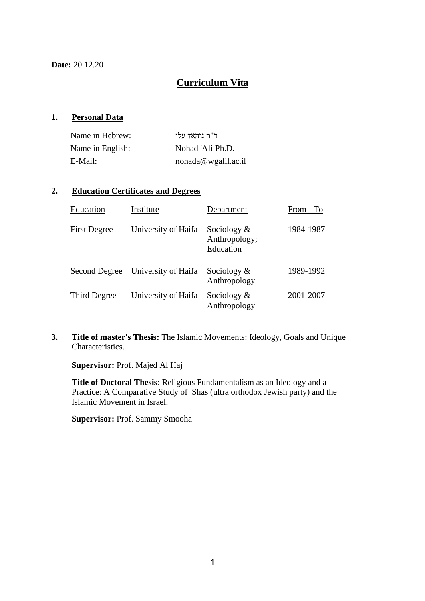**Date:** 20.12.20

## **Curriculum Vita**

#### **1. Personal Data**

| Name in Hebrew:  | ד"ר נוהאד עלי       |
|------------------|---------------------|
| Name in English: | Nohad 'Ali Ph.D.    |
| E-Mail:          | nohada@wgalil.ac.il |

#### **2. Education Certificates and Degrees**

| Education           | Institute           | Department                                   | From - To |
|---------------------|---------------------|----------------------------------------------|-----------|
| <b>First Degree</b> | University of Haifa | Sociology $\&$<br>Anthropology;<br>Education | 1984-1987 |
| Second Degree       | University of Haifa | Sociology $\&$<br>Anthropology               | 1989-1992 |
| Third Degree        | University of Haifa | Sociology $\&$<br>Anthropology               | 2001-2007 |

**3. Title of master's Thesis:** The Islamic Movements: Ideology, Goals and Unique Characteristics.

**Supervisor:** Prof. Majed Al Haj

**Title of Doctoral Thesis**: Religious Fundamentalism as an Ideology and a Practice: A Comparative Study of Shas (ultra orthodox Jewish party) and the Islamic Movement in Israel.

**Supervisor:** Prof. Sammy Smooha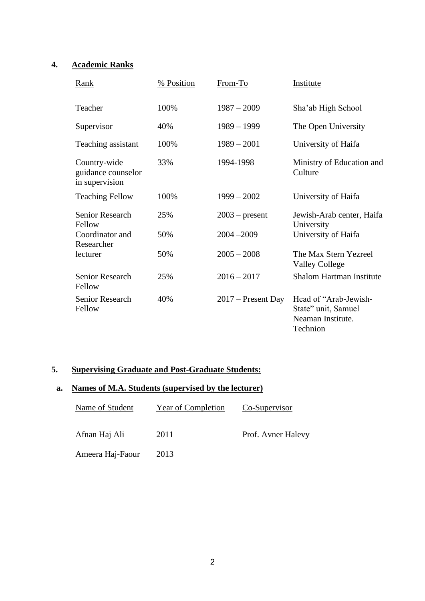## **4. Academic Ranks**

| Rank                                                 | % Position | From-To              | Institute                                                                     |
|------------------------------------------------------|------------|----------------------|-------------------------------------------------------------------------------|
| Teacher                                              | 100%       | $1987 - 2009$        | Sha'ab High School                                                            |
| Supervisor                                           | 40%        | $1989 - 1999$        | The Open University                                                           |
| Teaching assistant                                   | 100%       | $1989 - 2001$        | University of Haifa                                                           |
| Country-wide<br>guidance counselor<br>in supervision | 33%        | 1994-1998            | Ministry of Education and<br>Culture                                          |
| <b>Teaching Fellow</b>                               | 100%       | $1999 - 2002$        | University of Haifa                                                           |
| <b>Senior Research</b><br>Fellow                     | 25%        | $2003$ – present     | Jewish-Arab center, Haifa<br>University                                       |
| Coordinator and<br>Researcher                        | 50%        | $2004 - 2009$        | University of Haifa                                                           |
| lecturer                                             | 50%        | $2005 - 2008$        | The Max Stern Yezreel<br><b>Valley College</b>                                |
| Senior Research<br>Fellow                            | 25%        | $2016 - 2017$        | Shalom Hartman Institute                                                      |
| Senior Research<br>Fellow                            | 40%        | $2017$ – Present Day | Head of "Arab-Jewish-<br>State" unit, Samuel<br>Neaman Institute.<br>Technion |

## **5. Supervising Graduate and Post-Graduate Students:**

# **a. Names of M.A. Students (supervised by the lecturer)**

| Name of Student  | <b>Year of Completion</b> | Co-Supervisor      |
|------------------|---------------------------|--------------------|
| Afnan Haj Ali    | 2011                      | Prof. Avner Halevy |
| Ameera Haj-Faour | 2013                      |                    |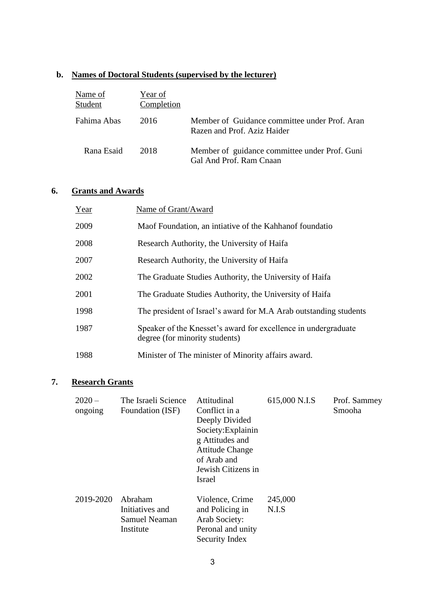## **b. Names of Doctoral Students (supervised by the lecturer)**

| Name of<br>Student | Year of<br>Completion |                                                                              |
|--------------------|-----------------------|------------------------------------------------------------------------------|
| Fahima Abas        | 2016                  | Member of Guidance committee under Prof. Aran<br>Razen and Prof. Aziz Haider |
| Rana Esaid         | 2018                  | Member of guidance committee under Prof. Guni<br>Gal And Prof. Ram Cnaan     |

## **6. Grants and Awards**

| Year | Name of Grant/Award                                                                              |
|------|--------------------------------------------------------------------------------------------------|
| 2009 | Maof Foundation, an intiative of the Kahhanof foundatio                                          |
| 2008 | Research Authority, the University of Haifa                                                      |
| 2007 | Research Authority, the University of Haifa                                                      |
| 2002 | The Graduate Studies Authority, the University of Haifa                                          |
| 2001 | The Graduate Studies Authority, the University of Haifa                                          |
| 1998 | The president of Israel's award for M.A Arab outstanding students                                |
| 1987 | Speaker of the Knesset's award for excellence in undergraduate<br>degree (for minority students) |
| 1988 | Minister of The minister of Minority affairs award.                                              |

# **7. Research Grants**

| $2020 -$<br>ongoing | The Israeli Science<br>Foundation (ISF)                  | Attitudinal<br>Conflict in a<br>Deeply Divided<br>Society: Explainin<br>g Attitudes and<br><b>Attitude Change</b><br>of Arab and<br>Jewish Citizens in<br>Israel | 615,000 N.I.S    | Prof. Sammey<br>Smooha |
|---------------------|----------------------------------------------------------|------------------------------------------------------------------------------------------------------------------------------------------------------------------|------------------|------------------------|
| 2019-2020           | Abraham<br>Initiatives and<br>Samuel Neaman<br>Institute | Violence, Crime<br>and Policing in<br>Arab Society:<br>Peronal and unity<br>Security Index                                                                       | 245,000<br>N.I.S |                        |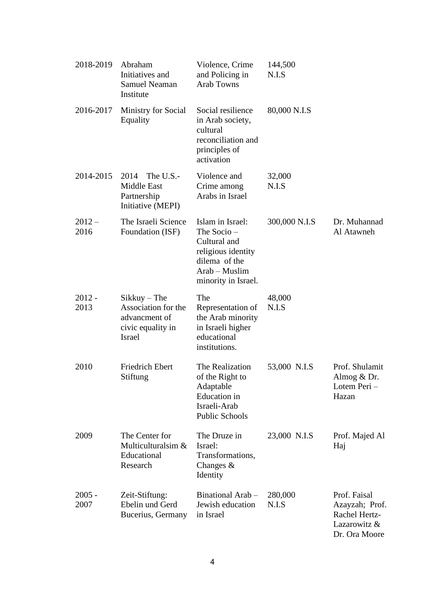| 2018-2019        | Abraham<br>Initiatives and<br><b>Samuel Neaman</b><br>Institute                              | Violence, Crime<br>and Policing in<br><b>Arab Towns</b>                                                                        | 144,500<br>N.I.S |                                                                                  |
|------------------|----------------------------------------------------------------------------------------------|--------------------------------------------------------------------------------------------------------------------------------|------------------|----------------------------------------------------------------------------------|
| 2016-2017        | Ministry for Social<br>Equality                                                              | Social resilience<br>in Arab society,<br>cultural<br>reconciliation and<br>principles of<br>activation                         | 80,000 N.I.S     |                                                                                  |
| 2014-2015        | 2014<br>The U.S.-<br>Middle East<br>Partnership<br>Initiative (MEPI)                         | Violence and<br>Crime among<br>Arabs in Israel                                                                                 | 32,000<br>N.I.S  |                                                                                  |
| $2012 -$<br>2016 | The Israeli Science<br>Foundation (ISF)                                                      | Islam in Israel:<br>The Socio -<br>Cultural and<br>religious identity<br>dilema of the<br>Arab – Muslim<br>minority in Israel. | 300,000 N.I.S    | Dr. Muhannad<br>Al Atawneh                                                       |
| $2012 -$<br>2013 | $Sikkuy$ – The<br>Association for the<br>advancment of<br>civic equality in<br><b>Israel</b> | The<br>Representation of<br>the Arab minority<br>in Israeli higher<br>educational<br>institutions.                             | 48,000<br>N.I.S  |                                                                                  |
| 2010             | <b>Friedrich Ebert</b><br>Stiftung                                                           | The Realization<br>of the Right to<br>Adaptable<br><b>Education</b> in<br>Israeli-Arab<br><b>Public Schools</b>                | 53,000 N.I.S     | Prof. Shulamit<br>Almog & Dr.<br>Lotem Peri -<br>Hazan                           |
| 2009             | The Center for<br>Multiculturalsim &<br>Educational<br>Research                              | The Druze in<br>Israel:<br>Transformations,<br>Changes $\&$<br>Identity                                                        | 23,000 N.I.S     | Prof. Majed Al<br>Haj                                                            |
| $2005 -$<br>2007 | Zeit-Stiftung:<br>Ebelin und Gerd<br>Bucerius, Germany                                       | Binational Arab -<br>Jewish education<br>in Israel                                                                             | 280,000<br>N.I.S | Prof. Faisal<br>Azayzah; Prof.<br>Rachel Hertz-<br>Lazarowitz &<br>Dr. Ora Moore |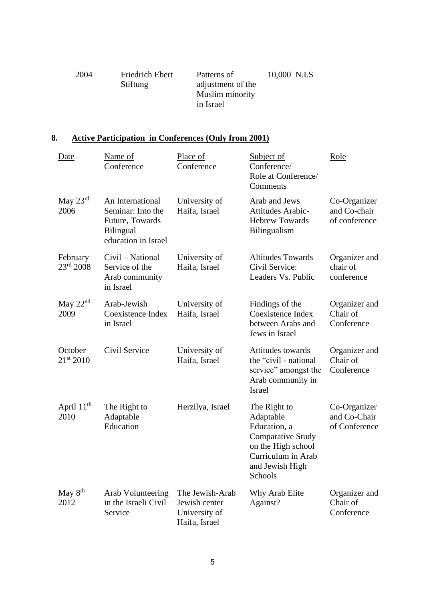| 2004 | Friedrich Ebert | Patterns of       | 10,000 N.I.S |
|------|-----------------|-------------------|--------------|
|      | Stiftung        | adjustment of the |              |
|      |                 | Muslim minority   |              |
|      |                 | in Israel         |              |
|      |                 |                   |              |

# **8. Active Participation in Conferences (Only from 2001)**

| Date                              | Name of<br>Conference                                                                               | Place of<br>Conference                                             | Subject of<br>Conference/<br>Role at Conference/<br><b>Comments</b>                                                                             | Role                                          |
|-----------------------------------|-----------------------------------------------------------------------------------------------------|--------------------------------------------------------------------|-------------------------------------------------------------------------------------------------------------------------------------------------|-----------------------------------------------|
| May $23^{\text{rd}}$<br>2006      | An International<br>Seminar: Into the<br>Future, Towards<br><b>Bilingual</b><br>education in Israel | University of<br>Haifa, Israel                                     | Arab and Jews<br>Attitudes Arabic-<br><b>Hebrew Towards</b><br><b>Bilingualism</b>                                                              | Co-Organizer<br>and Co-chair<br>of conference |
| February<br>23 <sup>rd</sup> 2008 | Civil – National<br>Service of the<br>Arab community<br>in Israel                                   | University of<br>Haifa, Israel                                     | <b>Altitudes Towards</b><br>Civil Service:<br>Leaders Vs. Public                                                                                | Organizer and<br>chair of<br>conference       |
| May 22 <sup>nd</sup><br>2009      | Arab-Jewish<br>Coexistence Index<br>in Israel                                                       | University of<br>Haifa, Israel                                     | Findings of the<br>Coexistence Index<br>between Arabs and<br>Jews in Israel                                                                     | Organizer and<br>Chair of<br>Conference       |
| October<br>21st 2010              | Civil Service                                                                                       | University of<br>Haifa, Israel                                     | Attitudes towards<br>the "civil - national"<br>service" amongst the<br>Arab community in<br>Israel                                              | Organizer and<br>Chair of<br>Conference       |
| April 11 <sup>th</sup><br>2010    | The Right to<br>Adaptable<br>Education                                                              | Herzilya, Israel                                                   | The Right to<br>Adaptable<br>Education, a<br><b>Comparative Study</b><br>on the High school<br>Curriculum in Arab<br>and Jewish High<br>Schools | Co-Organizer<br>and Co-Chair<br>of Conference |
| May 8 <sup>th</sup><br>2012       | <b>Arab Volunteering</b><br>in the Israeli Civil<br>Service                                         | The Jewish-Arab<br>Jewish center<br>University of<br>Haifa, Israel | Why Arab Elite<br>Against?                                                                                                                      | Organizer and<br>Chair of<br>Conference       |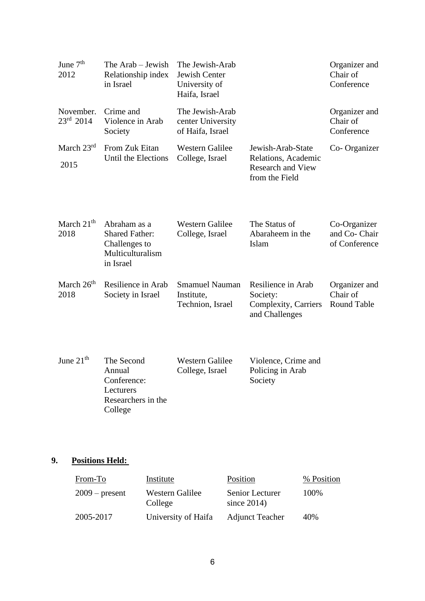| June 7 <sup>th</sup><br>2012    | The Arab – Jewish<br>Relationship index<br>in Israel                                    | The Jewish-Arab<br>Jewish Center<br>University of<br>Haifa, Israel |                                                                                        | Organizer and<br>Chair of<br>Conference         |
|---------------------------------|-----------------------------------------------------------------------------------------|--------------------------------------------------------------------|----------------------------------------------------------------------------------------|-------------------------------------------------|
| November.<br>$23^{\rm rd}$ 2014 | Crime and<br>Violence in Arab<br>Society                                                | The Jewish-Arab<br>center University<br>of Haifa, Israel           |                                                                                        | Organizer and<br>Chair of<br>Conference         |
| March $23rd$<br>2015            | From Zuk Eitan<br>Until the Elections                                                   | <b>Western Galilee</b><br>College, Israel                          | Jewish-Arab-State<br>Relations, Academic<br><b>Research and View</b><br>from the Field | Co-Organizer                                    |
| March $21th$<br>2018            | Abraham as a<br><b>Shared Father:</b><br>Challenges to<br>Multiculturalism<br>in Israel | <b>Western Galilee</b><br>College, Israel                          | The Status of<br>Abaraheem in the<br>Islam                                             | Co-Organizer<br>and Co- Chair<br>of Conference  |
| March 26 <sup>th</sup><br>2018  | Resilience in Arab<br>Society in Israel                                                 | <b>Smamuel Nauman</b><br>Institute,<br>Technion, Israel            | Resilience in Arab<br>Society:<br>Complexity, Carriers<br>and Challenges               | Organizer and<br>Chair of<br><b>Round Table</b> |
| June $21th$                     | The Second<br>Annual<br>Conference:                                                     | <b>Western Galilee</b><br>College, Israel                          | Violence, Crime and<br>Policing in Arab<br>Society                                     |                                                 |

# **9. Positions Held:**

Lecturers

College

Researchers in the

| From-To          | Institute                  | Position                          | % Position |
|------------------|----------------------------|-----------------------------------|------------|
| $2009$ – present | Western Galilee<br>College | Senior Lecturer<br>since $2014$ ) | 100%       |
| 2005-2017        | University of Haifa        | <b>Adjunct Teacher</b>            | 40%        |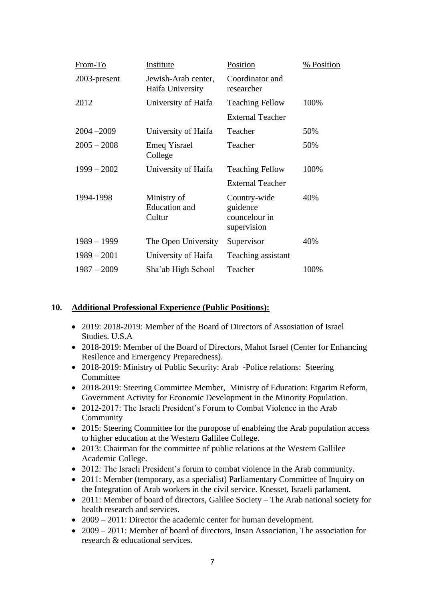| From-To       | Institute                                     | Position                                                 | % Position |
|---------------|-----------------------------------------------|----------------------------------------------------------|------------|
| 2003-present  | Jewish-Arab center,<br>Haifa University       | Coordinator and<br>researcher                            |            |
| 2012          | University of Haifa                           | <b>Teaching Fellow</b>                                   | 100%       |
|               |                                               | <b>External Teacher</b>                                  |            |
| $2004 - 2009$ | University of Haifa                           | Teacher                                                  | 50%        |
| $2005 - 2008$ | Emeq Yisrael<br>College                       | Teacher                                                  | 50%        |
| $1999 - 2002$ | University of Haifa                           | <b>Teaching Fellow</b>                                   | 100%       |
|               |                                               | <b>External Teacher</b>                                  |            |
| 1994-1998     | Ministry of<br><b>Education</b> and<br>Cultur | Country-wide<br>guidence<br>councelour in<br>supervision | 40%        |
| $1989 - 1999$ | The Open University                           | Supervisor                                               | 40%        |
| $1989 - 2001$ | University of Haifa                           | Teaching assistant                                       |            |
| $1987 - 2009$ | Sha'ab High School                            | Teacher                                                  | 100%       |

#### **10. Additional Professional Experience (Public Positions):**

- 2019: 2018-2019: Member of the Board of Directors of Assosiation of Israel Studies. U.S.A
- 2018-2019: Member of the Board of Directors, Mahot Israel (Center for Enhancing Resilence and Emergency Preparedness).
- 2018-2019: Ministry of Public Security: Arab -Police relations: Steering Committee
- 2018-2019: Steering Committee Member, Ministry of Education: Etgarim Reform, Government Activity for Economic Development in the Minority Population.
- 2012-2017: The Israeli President's Forum to Combat Violence in the Arab Community
- 2015: Steering Committee for the puropose of enableing the Arab population access to higher education at the Western Gallilee College.
- 2013: Chairman for the committee of public relations at the Western Gallilee Academic College.
- 2012: The Israeli President's forum to combat violence in the Arab community.
- 2011: Member (temporary, as a specialist) Parliamentary Committee of Inquiry on the Integration of Arab workers in the civil service. Knesset, Israeli parlament.
- 2011: Member of board of directors, Galilee Society The Arab national society for health research and services.
- 2009 2011: Director the academic center for human development.
- 2009 2011: Member of board of directors, Insan Association, The association for research & educational services.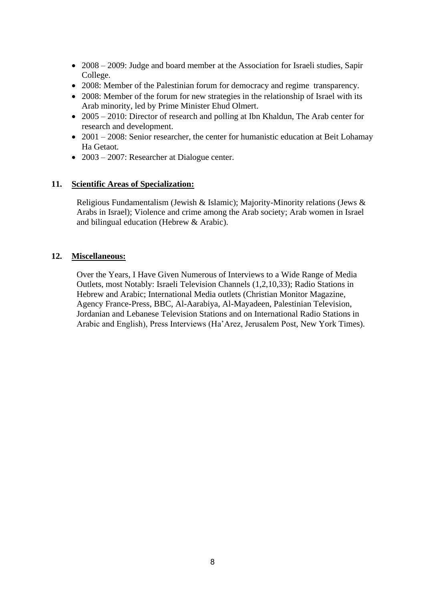- 2008 2009: Judge and board member at the Association for Israeli studies, Sapir College.
- 2008: Member of the Palestinian forum for democracy and regime transparency.
- 2008: Member of the forum for new strategies in the relationship of Israel with its Arab minority, led by Prime Minister Ehud Olmert.
- 2005 2010: Director of research and polling at Ibn Khaldun, The Arab center for research and development.
- 2001 2008: Senior researcher, the center for humanistic education at Beit Lohamay Ha Getaot.
- 2003 2007: Researcher at Dialogue center.

#### **11. Scientific Areas of Specialization:**

Religious Fundamentalism (Jewish & Islamic); Majority-Minority relations (Jews & Arabs in Israel); Violence and crime among the Arab society; Arab women in Israel and bilingual education (Hebrew & Arabic).

#### **12. Miscellaneous:**

Over the Years, I Have Given Numerous of Interviews to a Wide Range of Media Outlets, most Notably: Israeli Television Channels (1,2,10,33); Radio Stations in Hebrew and Arabic; International Media outlets (Christian Monitor Magazine, Agency France-Press, BBC, Al-Aarabiya, Al-Mayadeen, Palestinian Television, Jordanian and Lebanese Television Stations and on International Radio Stations in Arabic and English), Press Interviews (Ha'Arez, Jerusalem Post, New York Times).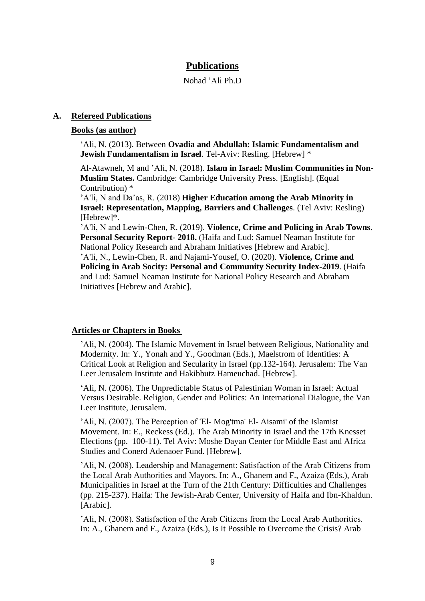## **Publications**

Nohad 'Ali Ph.D

#### **A. Refereed Publications**

#### **Books (as author)**

'Ali, N. (2013). Between **Ovadia and Abdullah: Islamic Fundamentalism and Jewish Fundamentalism in Israel**. Tel-Aviv: Resling. [Hebrew] \*

Al-Atawneh, M and 'Ali, N. (2018). **Islam in Israel: Muslim Communities in Non-Muslim States.** Cambridge: Cambridge University Press. [English]. (Equal Contribution) \*

'A'li, N and Da'as, R. (2018) **Higher Education among the Arab Minority in Israel: Representation, Mapping, Barriers and Challenges**. (Tel Aviv: Resling) [Hebrew]\*.

'A'li, N and Lewin-Chen, R. (2019). **Violence, Crime and Policing in Arab Towns**. **Personal Security Report- 2018.** (Haifa and Lud: Samuel Neaman Institute for National Policy Research and Abraham Initiatives [Hebrew and Arabic]. 'A'li, N., Lewin-Chen, R. and Najami-Yousef, O. (2020). **Violence, Crime and Policing in Arab Socity: Personal and Community Security Index-2019**. (Haifa and Lud: Samuel Neaman Institute for National Policy Research and Abraham Initiatives [Hebrew and Arabic].

#### **Articles or Chapters in Books**

'Ali, N. (2004). The Islamic Movement in Israel between Religious, Nationality and Modernity. In: Y., Yonah and Y., Goodman (Eds.), Maelstrom of Identities: A Critical Look at Religion and Secularity in Israel (pp.132-164). Jerusalem: The Van Leer Jerusalem Institute and Hakibbutz Hameuchad. [Hebrew].

'Ali, N. (2006). The Unpredictable Status of Palestinian Woman in Israel: Actual Versus Desirable. Religion, Gender and Politics: An International Dialogue, the Van Leer Institute, Jerusalem.

'Ali, N. (2007). The Perception of 'El- Mog'tma' El- Aisami' of the Islamist Movement. In: E., Reckess (Ed.). The Arab Minority in Israel and the 17th Knesset Elections (pp. 100-11). Tel Aviv: Moshe Dayan Center for Middle East and Africa Studies and Conerd Adenaoer Fund. [Hebrew].

'Ali, N. (2008). Leadership and Management: Satisfaction of the Arab Citizens from the Local Arab Authorities and Mayors. In: A., Ghanem and F., Azaiza (Eds.), Arab Municipalities in Israel at the Turn of the 21th Century: Difficulties and Challenges (pp. 215-237). Haifa: The Jewish-Arab Center, University of Haifa and Ibn-Khaldun. [Arabic].

'Ali, N. (2008). Satisfaction of the Arab Citizens from the Local Arab Authorities. In: A., Ghanem and F., Azaiza (Eds.), Is It Possible to Overcome the Crisis? Arab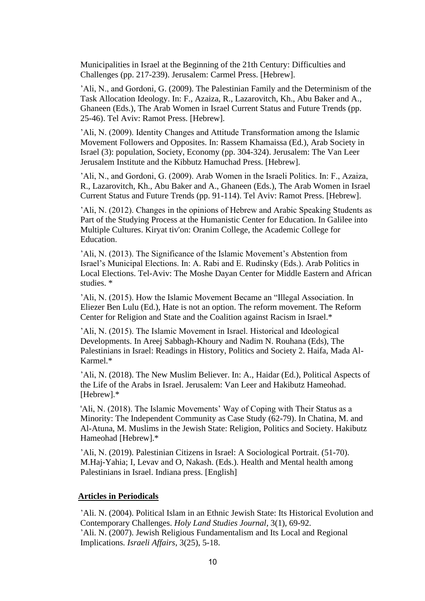Municipalities in Israel at the Beginning of the 21th Century: Difficulties and Challenges (pp. 217-239). Jerusalem: Carmel Press. [Hebrew].

'Ali, N., and Gordoni, G. (2009). The Palestinian Family and the Determinism of the Task Allocation Ideology. In: F., Azaiza, R., Lazarovitch, Kh., Abu Baker and A., Ghaneen (Eds.), The Arab Women in Israel Current Status and Future Trends (pp. 25-46). Tel Aviv: Ramot Press. [Hebrew].

'Ali, N. (2009). Identity Changes and Attitude Transformation among the Islamic Movement Followers and Opposites. In: Rassem Khamaissa (Ed.), Arab Society in Israel (3): population, Society, Economy (pp. 304-324). Jerusalem: The Van Leer Jerusalem Institute and the Kibbutz Hamuchad Press. [Hebrew].

'Ali, N., and Gordoni, G. (2009). Arab Women in the Israeli Politics. In: F., Azaiza, R., Lazarovitch, Kh., Abu Baker and A., Ghaneen (Eds.), The Arab Women in Israel Current Status and Future Trends (pp. 91-114). Tel Aviv: Ramot Press. [Hebrew].

'Ali, N. (2012). Changes in the opinions of Hebrew and Arabic Speaking Students as Part of the Studying Process at the Humanistic Center for Education. In Galilee into Multiple Cultures. Kiryat tiv'on: Oranim College, the Academic College for Education.

'Ali, N. (2013). The Significance of the Islamic Movement's Abstention from Israel's Municipal Elections. In: A. Rabi and E. Rudinsky (Eds.). Arab Politics in Local Elections. Tel-Aviv: The Moshe Dayan Center for Middle Eastern and African studies. \*

'Ali, N. (2015). How the Islamic Movement Became an "Illegal Association. In Eliezer Ben Lulu (Ed.), Hate is not an option. The reform movement. The Reform Center for Religion and State and the Coalition against Racism in Israel.\*

'Ali, N. (2015). The Islamic Movement in Israel. Historical and Ideological Developments. In Areej Sabbagh-Khoury and Nadim N. Rouhana (Eds), The Palestinians in Israel: Readings in History, Politics and Society 2. Haifa, Mada Al-Karmel.\*

'Ali, N. (2018). The New Muslim Believer. In: A., Haidar (Ed.), Political Aspects of the Life of the Arabs in Israel. Jerusalem: Van Leer and Hakibutz Hameohad. [Hebrew].\*

'Ali, N. (2018). The Islamic Movements' Way of Coping with Their Status as a Minority: The Independent Community as Case Study (62-79). In Chatina, M. and Al-Atuna, M. Muslims in the Jewish State: Religion, Politics and Society. Hakibutz Hameohad [Hebrew].\*

'Ali, N. (2019). Palestinian Citizens in Israel: A Sociological Portrait. (51-70). M.Haj-Yahia; I, Levav and O, Nakash. (Eds.). Health and Mental health among Palestinians in Israel. Indiana press. [English]

#### **Articles in Periodicals**

'Ali. N. (2004). Political Islam in an Ethnic Jewish State: Its Historical Evolution and Contemporary Challenges. *Holy Land Studies Journal*, 3(1), 69-92. 'Ali. N. (2007). Jewish Religious Fundamentalism and Its Local and Regional Implications*. Israeli Affairs*, 3(25), 5-18.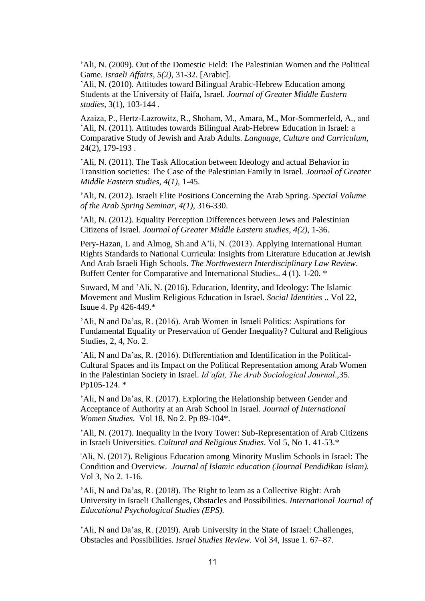'Ali, N. (2009). Out of the Domestic Field: The Palestinian Women and the Political Game. *Israeli Affairs*, *5(2),* 31-32. [Arabic].

'Ali, N. (2010). Attitudes toward Bilingual Arabic-Hebrew Education among Students at the University of Haifa, Israel. *Journal of Greater Middle Eastern studies*, 3(1), 103-144 .

Azaiza, P., Hertz-Lazrowitz, R., Shoham, M., Amara, M., Mor-Sommerfeld, A., and 'Ali, N. (2011). Attitudes towards Bilingual Arab-Hebrew Education in Israel: a Comparative Study of Jewish and Arab Adults. *Language, Culture and Curriculum*, 24(2), 179-193 .

'Ali, N. (2011). The Task Allocation between Ideology and actual Behavior in Transition societies: The Case of the Palestinian Family in Israel. *Journal of Greater Middle Eastern studies, 4(1),* 1-45.

'Ali, N. (2012). Israeli Elite Positions Concerning the Arab Spring. *Special Volume of the Arab Spring Seminar, 4(1),* 316-330.

'Ali, N. (2012). Equality Perception Differences between Jews and Palestinian Citizens of Israel. *Journal of Greater Middle Eastern studies*, *4(2)*, 1-36.

Pery-Hazan, L and Almog, Sh.and A'li, N. (2013). Applying International Human Rights Standards to National Curricula: Insights from Literature Education at Jewish And Arab Israeli High Schools. *The Northwestern Interdisciplinary Law Review*. Buffett Center for Comparative and International Studies.. 4 (1). 1-20. \*

Suwaed, M and 'Ali, N. (2016). Education, Identity, and Ideology: The Islamic Movement and Muslim Religious Education in Israel. *Social Identities* .. Vol 22, Isuue 4. Pp 426-449.\*

'Ali, N and Da'as, R. (2016). Arab Women in Israeli Politics: Aspirations for Fundamental Equality or Preservation of Gender Inequality? Cultural and Religious Studies, 2, 4, No. 2.

'Ali, N and Da'as, R. (2016). Differentiation and Identification in the Political-Cultural Spaces and its Impact on the Political Representation among Arab Women in the Palestinian Society in Israel. *Id'afat, The Arab Sociological Journal*.,35. Pp105-124. \*

'Ali, N and Da'as, R. (2017). Exploring the Relationship between Gender and Acceptance of Authority at an Arab School in Israel. *Journal of International Women Studies*. Vol 18, No 2. Pp 89-104\*.

'Ali, N. (2017). Inequality in the Ivory Tower: Sub-Representation of Arab Citizens in Israeli Universities. *Cultural and Religious Studies*. Vol 5, No 1. 41-53.\*

'Ali, N. (2017). Religious Education among Minority Muslim Schools in Israel: The Condition and Overview. *Journal of Islamic education (Journal Pendidikan Islam).* Vol 3, No 2. 1-16.

'Ali, N and Da'as, R. (2018). The Right to learn as a Collective Right: Arab University in Israel! Challenges, Obstacles and Possibilities. *International Journal of Educational Psychological Studies (EPS).*

'Ali, N and Da'as, R. (2019). Arab University in the State of Israel: Challenges, Obstacles and Possibilities. *Israel Studies Review.* Vol 34, Issue 1. 67–87.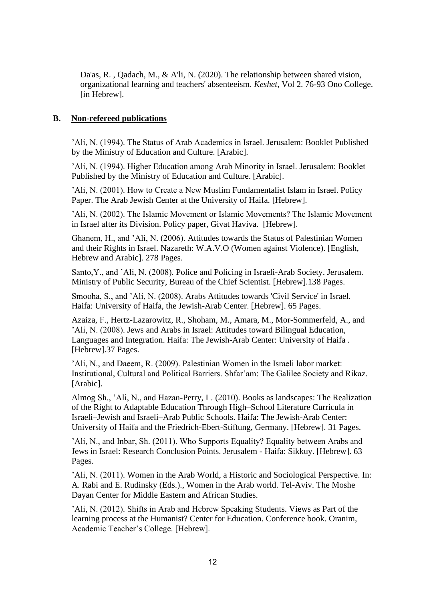Da'as, R. , Qadach, M., & A'li, N. (2020). The relationship between shared vision, organizational learning and teachers' absenteeism. *Keshet*, Vol 2. 76-93 Ono College. [in Hebrew].

#### **B. Non-refereed publications**

'Ali, N. (1994). The Status of Arab Academics in Israel. Jerusalem: Booklet Published by the Ministry of Education and Culture. [Arabic].

'Ali, N. (1994). Higher Education among Arab Minority in Israel. Jerusalem: Booklet Published by the Ministry of Education and Culture. [Arabic] .

'Ali, N. (2001). How to Create a New Muslim Fundamentalist Islam in Israel. Policy Paper. The Arab Jewish Center at the University of Haifa. [Hebrew].

'Ali, N. (2002). The Islamic Movement or Islamic Movements? The Islamic Movement in Israel after its Division. Policy paper, Givat Haviva. [Hebrew].

Ghanem, H., and 'Ali, N. (2006). Attitudes towards the Status of Palestinian Women and their Rights in Israel. Nazareth: W.A.V.O (Women against Violence). [English, Hebrew and Arabic]. 278 Pages.

Santo,Y., and 'Ali, N. (2008). Police and Policing in Israeli-Arab Society. Jerusalem. Ministry of Public Security, Bureau of the Chief Scientist. [Hebrew].138 Pages.

Smooha, S., and 'Ali, N. (2008). Arabs Attitudes towards 'Civil Service' in Israel. Haifa: University of Haifa, the Jewish-Arab Center. [Hebrew]. 65 Pages.

Azaiza, F., Hertz-Lazarowitz, R., Shoham, M., Amara, M., Mor-Sommerfeld, A., and 'Ali, N. (2008). Jews and Arabs in Israel: Attitudes toward Bilingual Education, Languages and Integration. Haifa: The Jewish-Arab Center: University of Haifa . [Hebrew].37 Pages.

'Ali, N., and Daeem, R. (2009). Palestinian Women in the Israeli labor market: Institutional, Cultural and Political Barriers. Shfar'am: The Galilee Society and Rikaz. [Arabic].

Almog Sh., 'Ali, N., and Hazan-Perry, L. (2010). Books as landscapes: The Realization of the Right to Adaptable Education Through High–School Literature Curricula in Israeli–Jewish and Israeli–Arab Public Schools. Haifa: The Jewish-Arab Center: University of Haifa and the Friedrich-Ebert-Stiftung, Germany. [Hebrew]. 31 Pages.

'Ali, N., and Inbar, Sh. (2011). Who Supports Equality? Equality between Arabs and Jews in Israel: Research Conclusion Points. Jerusalem - Haifa: Sikkuy. [Hebrew]. 63 Pages.

'Ali, N. (2011). Women in the Arab World, a Historic and Sociological Perspective. In: A. Rabi and E. Rudinsky (Eds.)., Women in the Arab world. Tel-Aviv. The Moshe Dayan Center for Middle Eastern and African Studies.

'Ali, N. (2012). Shifts in Arab and Hebrew Speaking Students. Views as Part of the learning process at the Humanist? Center for Education. Conference book. Oranim, Academic Teacher's College. [Hebrew].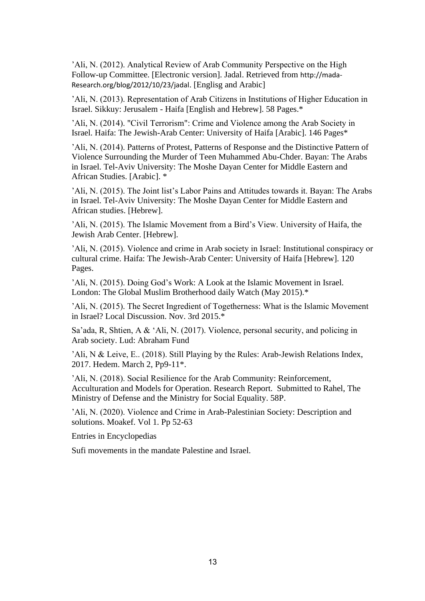'Ali, N. (2012). Analytical Review of Arab Community Perspective on the High Follow-up Committee. [Electronic version]. Jadal. Retrieved from [http://mada-](http://mada-research.org/blog/2012/10/23/jadal)[Research.org/blog/2012/10/23/jadal](http://mada-research.org/blog/2012/10/23/jadal). [Englisg and Arabic]

'Ali, N. (2013). Representation of Arab Citizens in Institutions of Higher Education in Israel. Sikkuy: Jerusalem - Haifa [English and Hebrew]. 58 Pages.\*

'Ali, N. (2014). "Civil Terrorism": Crime and Violence among the Arab Society in Israel. Haifa: The Jewish-Arab Center: University of Haifa [Arabic]. 146 Pages\*

'Ali, N. (2014). Patterns of Protest, Patterns of Response and the Distinctive Pattern of Violence Surrounding the Murder of Teen Muhammed Abu-Chder. Bayan: The Arabs in Israel. Tel-Aviv University: The Moshe Dayan Center for Middle Eastern and African Studies. [Arabic]. \*

'Ali, N. (2015). The Joint list's Labor Pains and Attitudes towards it. Bayan: The Arabs in Israel. Tel-Aviv University: The Moshe Dayan Center for Middle Eastern and African studies. [Hebrew].

'Ali, N. (2015). The Islamic Movement from a Bird's View. University of Haifa, the Jewish Arab Center. [Hebrew].

'Ali, N. (2015). Violence and crime in Arab society in Israel: Institutional conspiracy or cultural crime. Haifa: The Jewish-Arab Center: University of Haifa [Hebrew]. 120 Pages.

'Ali, N. (2015). Doing God's Work: A Look at the Islamic Movement in Israel. London: The Global Muslim Brotherhood daily Watch (May 2015).\*

'Ali, N. (2015). The Secret Ingredient of Togetherness: What is the Islamic Movement in Israel? Local Discussion. Nov. 3rd 2015.\*

Sa'ada, R, Shtien, A & 'Ali, N. (2017). Violence, personal security, and policing in Arab society. Lud: Abraham Fund

'Ali, N & Leive, E.. (2018). Still Playing by the Rules: Arab-Jewish Relations Index, 2017. Hedem. March 2, Pp9-11\*.

'Ali, N. (2018). Social Resilience for the Arab Community: Reinforcement, Acculturation and Models for Operation. Research Report. Submitted to Rahel, The Ministry of Defense and the Ministry for Social Equality. 58P.

'Ali, N. (2020). Violence and Crime in Arab-Palestinian Society: Description and solutions. Moakef. Vol 1. Pp 52-63

Entries in Encyclopedias

Sufi movements in the mandate Palestine and Israel.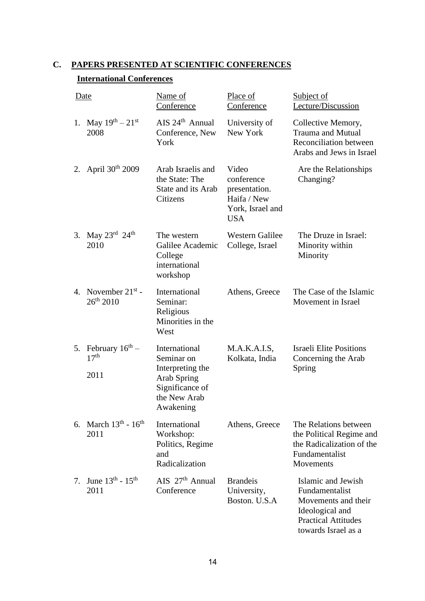# **C. PAPERS PRESENTED AT SCIENTIFIC CONFERENCES**

## **International Conferences**

|    | Date                                                    | Name of<br>Conference                                                                                                 | Place of<br>Conference                                                                | Subject of<br>Lecture/Discussion                                                                                                    |
|----|---------------------------------------------------------|-----------------------------------------------------------------------------------------------------------------------|---------------------------------------------------------------------------------------|-------------------------------------------------------------------------------------------------------------------------------------|
| 1. | May $19^{th} - 21^{st}$<br>2008                         | $AIS$ 24 <sup>th</sup> Annual<br>Conference, New<br>York                                                              | University of<br>New York                                                             | Collective Memory,<br><b>Trauma and Mutual</b><br><b>Reconciliation between</b><br>Arabs and Jews in Israel                         |
|    | 2. April $30^{th}$ 2009                                 | Arab Israelis and<br>the State: The<br>State and its Arab<br>Citizens                                                 | Video<br>conference<br>presentation.<br>Haifa / New<br>York, Israel and<br><b>USA</b> | Are the Relationships<br>Changing?                                                                                                  |
| 3. | May $23^{\text{rd}}$ $24^{\text{th}}$<br>2010           | The western<br>Galilee Academic<br>College<br>international<br>workshop                                               | <b>Western Galilee</b><br>College, Israel                                             | The Druze in Israel:<br>Minority within<br>Minority                                                                                 |
|    | 4. November $21^{st}$ -<br>$26^{th}$ 2010               | International<br>Seminar:<br>Religious<br>Minorities in the<br>West                                                   | Athens, Greece                                                                        | The Case of the Islamic<br>Movement in Israel                                                                                       |
| 5. | February $16^{\text{th}}$ –<br>17 <sup>th</sup><br>2011 | International<br>Seminar on<br>Interpreting the<br><b>Arab Spring</b><br>Significance of<br>the New Arab<br>Awakening | M.A.K.A.I.S,<br>Kolkata, India                                                        | <b>Israeli Elite Positions</b><br>Concerning the Arab<br>Spring                                                                     |
|    | 6. March $13^{th}$ - $16^{th}$<br>2011                  | International<br>Workshop:<br>Politics, Regime<br>and<br>Radicalization                                               | Athens, Greece                                                                        | The Relations between<br>the Political Regime and<br>the Radicalization of the<br>Fundamentalist<br>Movements                       |
| 7. | June $13^{th}$ - $15^{th}$<br>2011                      | AIS $27th$ Annual<br>Conference                                                                                       | <b>Brandeis</b><br>University,<br>Boston. U.S.A                                       | Islamic and Jewish<br>Fundamentalist<br>Movements and their<br>Ideological and<br><b>Practical Attitudes</b><br>towards Israel as a |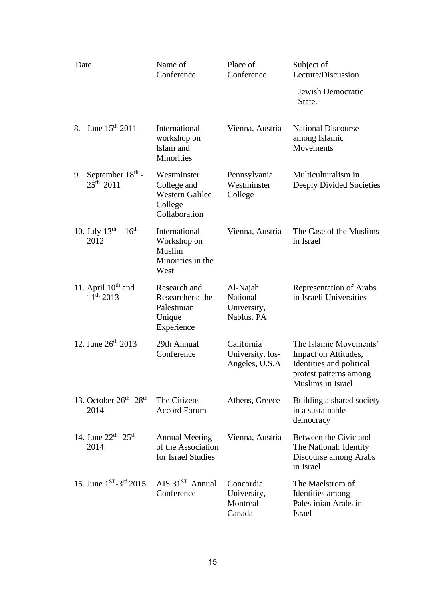| <b>Date</b>                                            | Name of<br>Conference                                                            | Place of<br>Conference                            | Subject of<br>Lecture/Discussion                                                                                          |
|--------------------------------------------------------|----------------------------------------------------------------------------------|---------------------------------------------------|---------------------------------------------------------------------------------------------------------------------------|
|                                                        |                                                                                  |                                                   | Jewish Democratic<br>State.                                                                                               |
| 8. June 15 <sup>th</sup> 2011                          | International<br>workshop on<br>Islam and<br>Minorities                          | Vienna, Austria                                   | <b>National Discourse</b><br>among Islamic<br>Movements                                                                   |
| September $18th$ -<br>9.<br>$25^{th}$ 2011             | Westminster<br>College and<br><b>Western Galilee</b><br>College<br>Collaboration | Pennsylvania<br>Westminster<br>College            | Multiculturalism in<br>Deeply Divided Societies                                                                           |
| 10. July $13^{th} - 16^{th}$<br>2012                   | International<br>Workshop on<br>Muslim<br>Minorities in the<br>West              | Vienna, Austria                                   | The Case of the Muslims<br>in Israel                                                                                      |
| 11. April $10th$ and<br>$11^{th}$ 2013                 | Research and<br>Researchers: the<br>Palestinian<br>Unique<br>Experience          | Al-Najah<br>National<br>University,<br>Nablus. PA | <b>Representation of Arabs</b><br>in Israeli Universities                                                                 |
| 12. June $26^{th}$ 2013                                | 29th Annual<br>Conference                                                        | California<br>University, los-<br>Angeles, U.S.A  | The Islamic Movements'<br>Impact on Attitudes,<br>Identities and political<br>protest patterns among<br>Muslims in Israel |
| 13. October $26^{\text{th}}$ -28 <sup>th</sup><br>2014 | The Citizens<br><b>Accord Forum</b>                                              | Athens, Greece                                    | Building a shared society<br>in a sustainable<br>democracy                                                                |
| 14. June $22^{th}$ - $25^{th}$<br>2014                 | <b>Annual Meeting</b><br>of the Association<br>for Israel Studies                | Vienna, Austria                                   | Between the Civic and<br>The National: Identity<br>Discourse among Arabs<br>in Israel                                     |
| 15. June $1^{ST}$ -3 <sup>rd</sup> 2015                | AIS $31^{ST}$ Annual<br>Conference                                               | Concordia<br>University,<br>Montreal<br>Canada    | The Maelstrom of<br>Identities among<br>Palestinian Arabs in<br>Israel                                                    |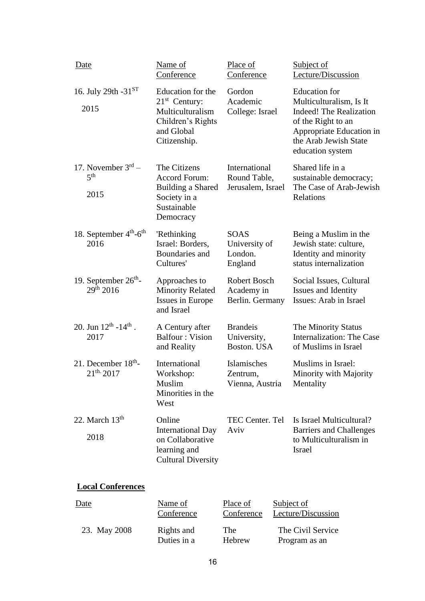| <b>Date</b>                                              | Name of<br>Conference                                                                                       | Place of<br>Conference                             | Subject of<br>Lecture/Discussion                                                                                                                                                 |
|----------------------------------------------------------|-------------------------------------------------------------------------------------------------------------|----------------------------------------------------|----------------------------------------------------------------------------------------------------------------------------------------------------------------------------------|
| 16. July 29th $-31^{ST}$<br>2015                         | Education for the<br>$21st$ Century:<br>Multiculturalism<br>Children's Rights<br>and Global<br>Citizenship. | Gordon<br>Academic<br>College: Israel              | <b>Education</b> for<br>Multiculturalism, Is It<br><b>Indeed!</b> The Realization<br>of the Right to an<br>Appropriate Education in<br>the Arab Jewish State<br>education system |
| 17. November $3rd$ –<br>5 <sup>th</sup><br>2015          | The Citizens<br>Accord Forum:<br>Building a Shared<br>Society in a<br>Sustainable<br>Democracy              | International<br>Round Table,<br>Jerusalem, Israel | Shared life in a<br>sustainable democracy;<br>The Case of Arab-Jewish<br>Relations                                                                                               |
| 18. September 4 <sup>th</sup> -6 <sup>th</sup><br>2016   | 'Rethinking<br>Israel: Borders,<br>Boundaries and<br>Cultures'                                              | <b>SOAS</b><br>University of<br>London.<br>England | Being a Muslim in the<br>Jewish state: culture,<br>Identity and minority<br>status internalization                                                                               |
| 19. September $26th$ -<br>$29^{th}$ 2016                 | Approaches to<br><b>Minority Related</b><br>Issues in Europe<br>and Israel                                  | Robert Bosch<br>Academy in<br>Berlin. Germany      | Social Issues, Cultural<br>Issues and Identity<br>Issues: Arab in Israel                                                                                                         |
| 20. Jun $12^{\text{th}}$ -14 <sup>th</sup> .<br>2017     | A Century after<br><b>Balfour: Vision</b><br>and Reality                                                    | <b>Brandeis</b><br>University,<br>Boston. USA      | The Minority Status<br>Internalization: The Case<br>of Muslims in Israel                                                                                                         |
| 21. December 18 <sup>th</sup> -<br>21 <sup>th</sup> 2017 | International<br>Workshop:<br>Muslim<br>Minorities in the<br>West                                           | Islamisches<br>Zentrum,<br>Vienna, Austria         | Muslims in Israel:<br>Minority with Majority<br>Mentality                                                                                                                        |
| 22. March $13th$<br>2018                                 | Online<br><b>International Day</b><br>on Collaborative<br>learning and<br><b>Cultural Diversity</b>         | TEC Center. Tel<br>Aviv                            | Is Israel Multicultural?<br><b>Barriers and Challenges</b><br>to Multiculturalism in<br>Israel                                                                                   |

# **Local Conferences**

| Date         | Name of     | Place of   | Subject of         |
|--------------|-------------|------------|--------------------|
|              | Conference  | Conference | Lecture/Discussion |
| 23. May 2008 | Rights and  | The        | The Civil Service  |
|              | Duties in a | Hebrew     | Program as an      |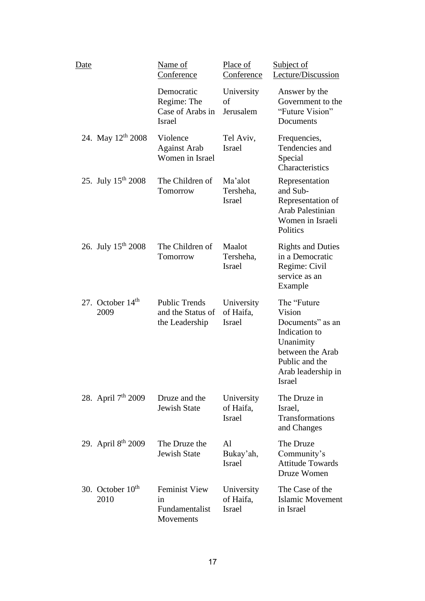| Date |                                | Name of<br>Conference                                          | Place of<br>Conference                   | <b>Subject of</b><br>Lecture/Discussion                                                                                                       |
|------|--------------------------------|----------------------------------------------------------------|------------------------------------------|-----------------------------------------------------------------------------------------------------------------------------------------------|
|      |                                | Democratic<br>Regime: The<br>Case of Arabs in<br><b>Israel</b> | University<br>of<br>Jerusalem            | Answer by the<br>Government to the<br>"Future Vision"<br>Documents                                                                            |
|      | 24. May 12 <sup>th</sup> 2008  | Violence<br><b>Against Arab</b><br>Women in Israel             | Tel Aviv,<br>Israel                      | Frequencies,<br>Tendencies and<br>Special<br>Characteristics                                                                                  |
|      | 25. July $15^{th}$ 2008        | The Children of<br>Tomorrow                                    | Ma'alot<br>Tersheha,<br>Israel           | Representation<br>and Sub-<br>Representation of<br>Arab Palestinian<br>Women in Israeli<br>Politics                                           |
|      | 26. July $15^{th}$ 2008        | The Children of<br>Tomorrow                                    | Maalot<br>Tersheha,<br><b>Israel</b>     | <b>Rights and Duties</b><br>in a Democratic<br>Regime: Civil<br>service as an<br>Example                                                      |
|      | 27. October 14th<br>2009       | <b>Public Trends</b><br>and the Status of<br>the Leadership    | University<br>of Haifa,<br>Israel        | The "Future<br>Vision<br>Documents" as an<br>Indication to<br>Unanimity<br>between the Arab<br>Public and the<br>Arab leadership in<br>Israel |
|      | 28. April 7 <sup>th</sup> 2009 | Druze and the<br><b>Jewish State</b>                           | University<br>of Haifa,<br><b>Israel</b> | The Druze in<br>Israel,<br>Transformations<br>and Changes                                                                                     |
|      | 29. April 8 <sup>th</sup> 2009 | The Druze the<br><b>Jewish State</b>                           | Al<br>Bukay'ah,<br><b>Israel</b>         | The Druze<br>Community's<br><b>Attitude Towards</b><br>Druze Women                                                                            |
|      | 30. October $10th$<br>2010     | <b>Feminist View</b><br>in<br>Fundamentalist<br>Movements      | University<br>of Haifa,<br><b>Israel</b> | The Case of the<br><b>Islamic Movement</b><br>in Israel                                                                                       |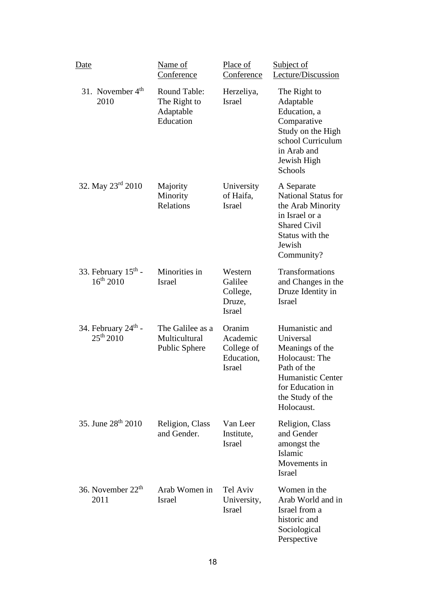| <u>Date</u>                                       | Name of<br>Conference                                         | Place of<br>Conference                                          | Subject of<br>Lecture/Discussion                                                                                                                           |
|---------------------------------------------------|---------------------------------------------------------------|-----------------------------------------------------------------|------------------------------------------------------------------------------------------------------------------------------------------------------------|
| 31. November $4th$<br>2010                        | <b>Round Table:</b><br>The Right to<br>Adaptable<br>Education | Herzeliya,<br><b>Israel</b>                                     | The Right to<br>Adaptable<br>Education, a<br>Comparative<br>Study on the High<br>school Curriculum<br>in Arab and<br>Jewish High<br>Schools                |
| 32. May $23^{\text{rd}}$ 2010                     | Majority<br>Minority<br>Relations                             | University<br>of Haifa,<br><b>Israel</b>                        | A Separate<br><b>National Status for</b><br>the Arab Minority<br>in Israel or a<br><b>Shared Civil</b><br>Status with the<br>Jewish<br>Community?          |
| 33. February $15th$ -<br>$16^{th}$ 2010           | Minorities in<br><b>Israel</b>                                | Western<br>Galilee<br>College,<br>Druze,<br><b>Israel</b>       | Transformations<br>and Changes in the<br>Druze Identity in<br><b>Israel</b>                                                                                |
| 34. February $24^{\text{th}}$ -<br>$25^{th} 2010$ | The Galilee as a<br>Multicultural<br>Public Sphere            | Oranim<br>Academic<br>College of<br>Education,<br><b>Israel</b> | Humanistic and<br>Universal<br>Meanings of the<br>Holocaust: The<br>Path of the<br>Humanistic Center<br>for Education in<br>the Study of the<br>Holocaust. |
| 35. June 28 <sup>th</sup> 2010                    | Religion, Class<br>and Gender.                                | Van Leer<br>Institute,<br><b>Israel</b>                         | Religion, Class<br>and Gender<br>amongst the<br>Islamic<br>Movements in<br><b>Israel</b>                                                                   |
| 36. November $22th$<br>2011                       | Arab Women in<br><b>Israel</b>                                | Tel Aviv<br>University,<br><b>Israel</b>                        | Women in the<br>Arab World and in<br>Israel from a<br>historic and<br>Sociological<br>Perspective                                                          |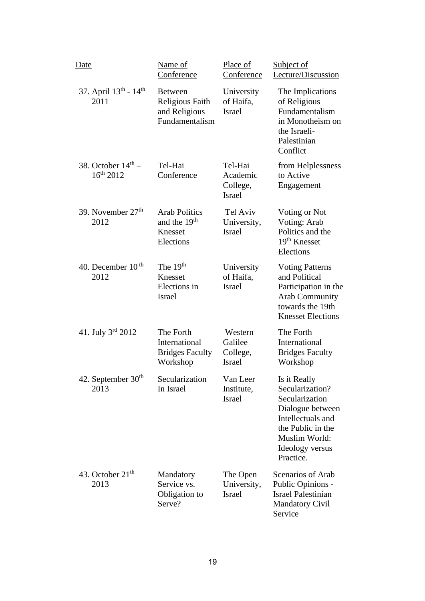| Date                                             | Name of<br>Conference                                                    | Place of<br>Conference                           | Subject of<br>Lecture/Discussion                                                                                                                                 |
|--------------------------------------------------|--------------------------------------------------------------------------|--------------------------------------------------|------------------------------------------------------------------------------------------------------------------------------------------------------------------|
| 37. April 13th - 14th<br>2011                    | <b>Between</b><br>Religious Faith<br>and Religious<br>Fundamentalism     | University<br>of Haifa,<br><b>Israel</b>         | The Implications<br>of Religious<br>Fundamentalism<br>in Monotheism on<br>the Israeli-<br>Palestinian<br>Conflict                                                |
| 38. October $14^{\text{th}}$ –<br>$16^{th}$ 2012 | Tel-Hai<br>Conference                                                    | Tel-Hai<br>Academic<br>College,<br><b>Israel</b> | from Helplessness<br>to Active<br>Engagement                                                                                                                     |
| 39. November 27 <sup>th</sup><br>2012            | <b>Arab Politics</b><br>and the 19 <sup>th</sup><br>Knesset<br>Elections | Tel Aviv<br>University,<br><b>Israel</b>         | Voting or Not<br>Voting: Arab<br>Politics and the<br>19 <sup>th</sup> Knesset<br>Elections                                                                       |
| 40. December $10th$<br>2012                      | The $19th$<br>Knesset<br>Elections in<br><b>Israel</b>                   | University<br>of Haifa,<br><b>Israel</b>         | <b>Voting Patterns</b><br>and Political<br>Participation in the<br><b>Arab Community</b><br>towards the 19th<br><b>Knesset Elections</b>                         |
| 41. July $3^{rd}$ 2012                           | The Forth<br>International<br><b>Bridges Faculty</b><br>Workshop         | Western<br>Galilee<br>College,<br><b>Israel</b>  | The Forth<br>International<br><b>Bridges Faculty</b><br>Workshop                                                                                                 |
| 42. September 30 <sup>th</sup><br>2013           | Secularization<br>In Israel                                              | Van Leer<br>Institute,<br><b>Israel</b>          | Is it Really<br>Secularization?<br>Secularization<br>Dialogue between<br>Intellectuals and<br>the Public in the<br>Muslim World:<br>Ideology versus<br>Practice. |
| 43. October 21 <sup>th</sup><br>2013             | Mandatory<br>Service vs.<br>Obligation to<br>Serve?                      | The Open<br>University,<br>Israel                | Scenarios of Arab<br>Public Opinions -<br><b>Israel Palestinian</b><br><b>Mandatory Civil</b><br>Service                                                         |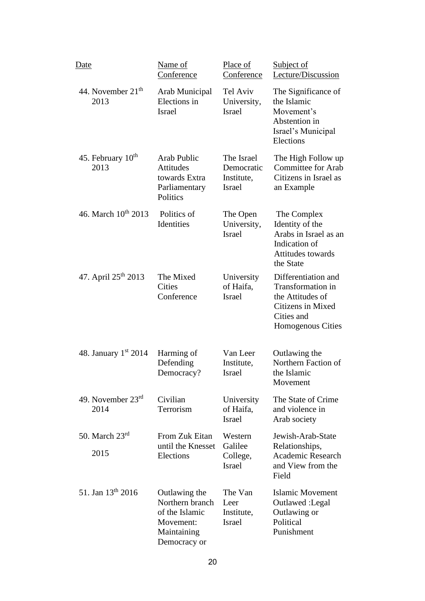| Date                                  | Name of<br>Conference                                                                          | Place of<br>Conference                                  | Subject of<br>Lecture/Discussion                                                                                     |
|---------------------------------------|------------------------------------------------------------------------------------------------|---------------------------------------------------------|----------------------------------------------------------------------------------------------------------------------|
| 44. November $21th$<br>2013           | Arab Municipal<br>Elections in<br><b>Israel</b>                                                | Tel Aviv<br>University,<br><b>Israel</b>                | The Significance of<br>the Islamic<br>Movement's<br>Abstention in<br>Israel's Municipal<br>Elections                 |
| 45. February 10 <sup>th</sup><br>2013 | Arab Public<br><b>Attitudes</b><br>towards Extra<br>Parliamentary<br>Politics                  | The Israel<br>Democratic<br>Institute,<br><b>Israel</b> | The High Follow up<br><b>Committee for Arab</b><br>Citizens in Israel as<br>an Example                               |
| 46. March $10^{th}$ 2013              | Politics of<br>Identities                                                                      | The Open<br>University,<br><b>Israel</b>                | The Complex<br>Identity of the<br>Arabs in Israel as an<br>Indication of<br><b>Attitudes towards</b><br>the State    |
| 47. April $25^{th}$ 2013              | The Mixed<br>Cities<br>Conference                                                              | University<br>of Haifa,<br><b>Israel</b>                | Differentiation and<br>Transformation in<br>the Attitudes of<br>Citizens in Mixed<br>Cities and<br>Homogenous Cities |
| 48. January 1st 2014                  | Harming of<br>Defending<br>Democracy?                                                          | Van Leer<br>Institute,<br><b>Israel</b>                 | Outlawing the<br>Northern Faction of<br>the Islamic<br>Movement                                                      |
| 49. November $23^{\text{rd}}$<br>2014 | Civilian<br>Terrorism                                                                          | University<br>of Haifa,<br><b>Israel</b>                | The State of Crime<br>and violence in<br>Arab society                                                                |
| 50. March $23^{\text{rd}}$<br>2015    | From Zuk Eitan<br>until the Knesset<br>Elections                                               | Western<br>Galilee<br>College,<br><b>Israel</b>         | Jewish-Arab-State<br>Relationships,<br>Academic Research<br>and View from the<br>Field                               |
| 51. Jan $13^{th}$ 2016                | Outlawing the<br>Northern branch<br>of the Islamic<br>Movement:<br>Maintaining<br>Democracy or | The Van<br>Leer<br>Institute,<br><b>Israel</b>          | <b>Islamic Movement</b><br>Outlawed: Legal<br>Outlawing or<br>Political<br>Punishment                                |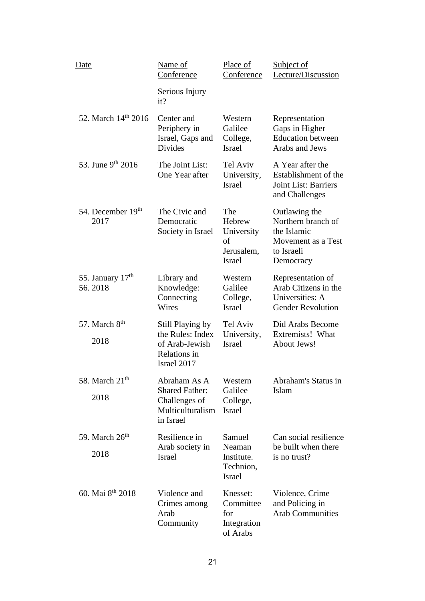| <u>Date</u>                   | Name of<br>Conference                                                                   | Place of<br>Conference                                           | <b>Subject of</b><br>Lecture/Discussion                                                             |
|-------------------------------|-----------------------------------------------------------------------------------------|------------------------------------------------------------------|-----------------------------------------------------------------------------------------------------|
|                               | Serious Injury<br>it?                                                                   |                                                                  |                                                                                                     |
| 52. March 14th 2016           | Center and<br>Periphery in<br>Israel, Gaps and<br><b>Divides</b>                        | Western<br>Galilee<br>College,<br><b>Israel</b>                  | Representation<br>Gaps in Higher<br><b>Education between</b><br>Arabs and Jews                      |
| 53. June 9th 2016             | The Joint List:<br>One Year after                                                       | Tel Aviv<br>University,<br><b>Israel</b>                         | A Year after the<br>Establishment of the<br><b>Joint List: Barriers</b><br>and Challenges           |
| 54. December 19th<br>2017     | The Civic and<br>Democratic<br>Society in Israel                                        | The<br>Hebrew<br>University<br>of<br>Jerusalem,<br><b>Israel</b> | Outlawing the<br>Northern branch of<br>the Islamic<br>Movement as a Test<br>to Israeli<br>Democracy |
| 55. January $17th$<br>56.2018 | Library and<br>Knowledge:<br>Connecting<br>Wires                                        | Western<br>Galilee<br>College,<br><b>Israel</b>                  | Representation of<br>Arab Citizens in the<br>Universities: A<br><b>Gender Revolution</b>            |
| 57. March $8th$<br>2018       | Still Playing by<br>the Rules: Index<br>of Arab-Jewish<br>Relations in<br>Israel 2017   | Tel Aviv<br>University,<br><b>Israel</b>                         | Did Arabs Become<br>Extremists! What<br><b>About Jews!</b>                                          |
| 58. March $21th$<br>2018      | Abraham As A<br><b>Shared Father:</b><br>Challenges of<br>Multiculturalism<br>in Israel | Western<br>Galilee<br>College,<br><b>Israel</b>                  | Abraham's Status in<br>Islam                                                                        |
| 59. March $26th$<br>2018      | Resilience in<br>Arab society in<br><b>Israel</b>                                       | Samuel<br>Neaman<br>Institute.<br>Technion,<br><b>Israel</b>     | Can social resilience<br>be built when there<br>is no trust?                                        |
| 60. Mai 8 <sup>th</sup> 2018  | Violence and<br>Crimes among<br>Arab<br>Community                                       | Knesset:<br>Committee<br>for<br>Integration<br>of Arabs          | Violence, Crime<br>and Policing in<br><b>Arab Communities</b>                                       |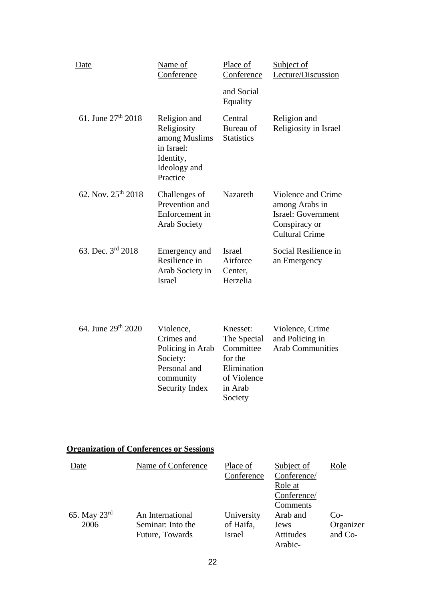| Date                           | Name of<br>Conference                                                                               | Place of<br>Conference                           | Subject of<br>Lecture/Discussion                                                                     |
|--------------------------------|-----------------------------------------------------------------------------------------------------|--------------------------------------------------|------------------------------------------------------------------------------------------------------|
|                                |                                                                                                     | and Social<br>Equality                           |                                                                                                      |
| 61. June $27^{\text{th}}$ 2018 | Religion and<br>Religiosity<br>among Muslims<br>in Israel:<br>Identity,<br>Ideology and<br>Practice | Central<br>Bureau of<br><b>Statistics</b>        | Religion and<br>Religiosity in Israel                                                                |
| 62. Nov. $25^{th}$ 2018        | Challenges of<br>Prevention and<br>Enforcement in<br><b>Arab Society</b>                            | Nazareth                                         | Violence and Crime<br>among Arabs in<br>Israel: Government<br>Conspiracy or<br><b>Cultural Crime</b> |
| 63. Dec. 3rd 2018              | Emergency and<br>Resilience in<br>Arab Society in<br><b>Israel</b>                                  | <b>Israel</b><br>Airforce<br>Center,<br>Herzelia | Social Resilience in<br>an Emergency                                                                 |
| 64. June 29th 2020             | Violence,<br>Crimes and<br>Policing in Arab                                                         | Knesset:<br>The Special<br>Committee             | Violence, Crime<br>and Policing in<br><b>Arab Communities</b>                                        |

## **Organization of Conferences or Sessions**

Society: Personal and community Security Index

| Date                     | Name of Conference | Place of   | Subject of       | Role      |
|--------------------------|--------------------|------------|------------------|-----------|
|                          |                    | Conference | Conference/      |           |
|                          |                    |            | Role at          |           |
|                          |                    |            | Conference/      |           |
|                          |                    |            | Comments         |           |
| 65. May $23^{\text{rd}}$ | An International   | University | Arab and         | $Co-$     |
| 2006                     | Seminar: Into the  | of Haifa,  | Jews             | Organizer |
|                          | Future, Towards    | Israel     | <b>Attitudes</b> | and Co-   |
|                          |                    |            | Arabic-          |           |

for the Elimination of Violence in Arab Society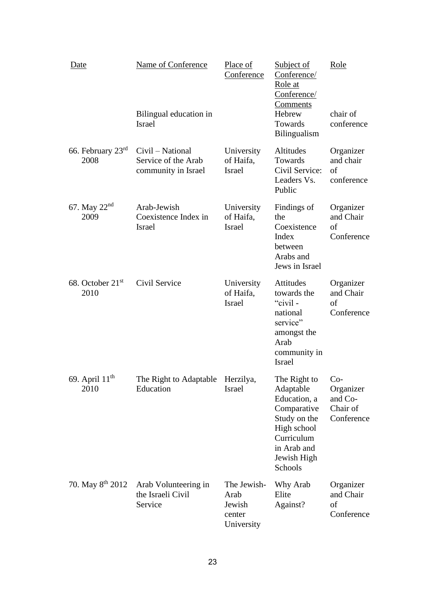| Date                                 | Name of Conference<br>Bilingual education in<br><b>Israel</b>  | Place of<br>Conference                                | Subject of<br>Conference/<br>Role at<br>Conference/<br>Comments<br>Hebrew<br>Towards<br>Bilingualism                                               | Role<br>chair of<br>conference                 |
|--------------------------------------|----------------------------------------------------------------|-------------------------------------------------------|----------------------------------------------------------------------------------------------------------------------------------------------------|------------------------------------------------|
| 66. February $23rd$<br>2008          | Civil - National<br>Service of the Arab<br>community in Israel | University<br>of Haifa,<br>Israel                     | Altitudes<br>Towards<br>Civil Service:<br>Leaders Vs.<br>Public                                                                                    | Organizer<br>and chair<br>of<br>conference     |
| 67. May $22nd$<br>2009               | Arab-Jewish<br>Coexistence Index in<br><b>Israel</b>           | University<br>of Haifa,<br><b>Israel</b>              | Findings of<br>the<br>Coexistence<br>Index<br>between<br>Arabs and<br>Jews in Israel                                                               | Organizer<br>and Chair<br>of<br>Conference     |
| 68. October 21 <sup>st</sup><br>2010 | Civil Service                                                  | University<br>of Haifa,<br><b>Israel</b>              | Attitudes<br>towards the<br>"civil-<br>national<br>service"<br>amongst the<br>Arab<br>community in<br><b>Israel</b>                                | Organizer<br>and Chair<br>of<br>Conference     |
| 69. April 11 <sup>th</sup><br>2010   | The Right to Adaptable Herzilya,<br>Education                  | <b>Israel</b>                                         | The Right to Co-<br>Adaptable<br>Education, a<br>Comparative<br>Study on the<br>High school<br>Curriculum<br>in Arab and<br>Jewish High<br>Schools | Organizer<br>and Co-<br>Chair of<br>Conference |
| 70. May 8 <sup>th</sup> 2012         | Arab Volunteering in<br>the Israeli Civil<br>Service           | The Jewish-<br>Arab<br>Jewish<br>center<br>University | Why Arab<br>Elite<br>Against?                                                                                                                      | Organizer<br>and Chair<br>of<br>Conference     |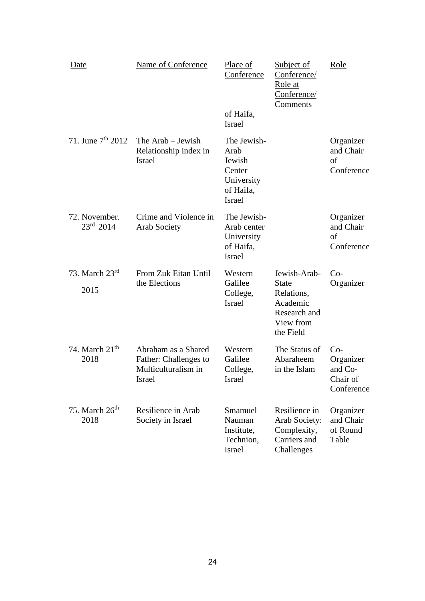| <u>Date</u> |                                     | Name of Conference                                                            | Place of<br>Conference                                                              | <b>Subject of</b><br>Conference/<br>Role at<br>Conference/<br><u>Comments</u>                    | Role                                                    |
|-------------|-------------------------------------|-------------------------------------------------------------------------------|-------------------------------------------------------------------------------------|--------------------------------------------------------------------------------------------------|---------------------------------------------------------|
|             |                                     |                                                                               | of Haifa,<br><b>Israel</b>                                                          |                                                                                                  |                                                         |
|             | 71. June $7th 2012$                 | The Arab – Jewish<br>Relationship index in<br><b>Israel</b>                   | The Jewish-<br>Arab<br>Jewish<br>Center<br>University<br>of Haifa,<br><b>Israel</b> |                                                                                                  | Organizer<br>and Chair<br>of<br>Conference              |
|             | 72. November.<br>$23^{\rm rd}$ 2014 | Crime and Violence in<br><b>Arab Society</b>                                  | The Jewish-<br>Arab center<br>University<br>of Haifa,<br><b>Israel</b>              |                                                                                                  | Organizer<br>and Chair<br>of<br>Conference              |
|             | 73. March $23rd$<br>2015            | From Zuk Eitan Until<br>the Elections                                         | Western<br>Galilee<br>College,<br><b>Israel</b>                                     | Jewish-Arab-<br><b>State</b><br>Relations,<br>Academic<br>Research and<br>View from<br>the Field | $Co-$<br>Organizer                                      |
|             | 74. March $21th$<br>2018            | Abraham as a Shared<br>Father: Challenges to<br>Multiculturalism in<br>Israel | Western<br>Galilee<br>College,<br>Israel                                            | The Status of<br>Abaraheem<br>in the Islam                                                       | $Co-$<br>Organizer<br>and Co-<br>Chair of<br>Conference |
|             | 75. March $26th$<br>2018            | Resilience in Arab<br>Society in Israel                                       | Smamuel<br>Nauman<br>Institute,<br>Technion,<br>Israel                              | Resilience in<br>Arab Society:<br>Complexity,<br>Carriers and<br>Challenges                      | Organizer<br>and Chair<br>of Round<br>Table             |